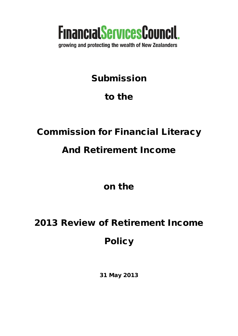

growing and protecting the wealth of New Zealanders

## Submission

## to the

## Commission for Financial Literacy

## And Retirement Income

on the

# 2013 Review of Retirement Income Policy

31 May 2013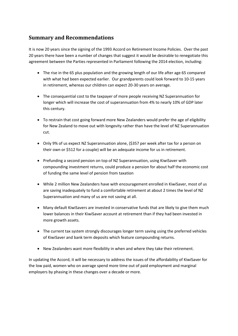## **Summary and Recommendations**

It is now 20 years since the signing of the 1993 Accord on Retirement Income Policies. Over the past 20 years there have been a number of changes that suggest it would be desirable to renegotiate this agreement between the Parties represented in Parliament following the 2014 election, including:

- The rise in the 65 plus population and the growing length of our life after age 65 compared with what had been expected earlier. Our grandparents could look forward to 10-15 years in retirement, whereas our children can expect 20-30 years on average.
- The consequential cost to the taxpayer of more people receiving NZ Superannuation for longer which will increase the cost of superannuation from 4% to nearly 10% of GDP later this century.
- To restrain that cost going forward more New Zealanders would prefer the age of eligibility for New Zealand to move out with longevity rather than have the level of NZ Superannuation cut.
- Only 9% of us expect NZ Superannuation alone, (\$357 per week after tax for a person on their own or \$512 for a couple) will be an adequate income for us in retirement.
- Prefunding a second pension on top of NZ Superannuation, using KiwiSaver with compounding investment returns, could produce a pension for about half the economic cost of funding the same level of pension from taxation
- While 2 million New Zealanders have with encouragement enrolled in KiwiSaver, most of us are saving inadequately to fund a comfortable retirement at about 2 times the level of NZ Superannuation and many of us are not saving at all.
- Many default KiwiSavers are invested in conservative funds that are likely to give them much lower balances in their KiwiSaver account at retirement than if they had been invested in more growth assets.
- The current tax system strongly discourages longer term saving using the preferred vehicles of KiwiSaver and bank term deposits which feature compounding returns.
- New Zealanders want more flexibility in when and where they take their retirement.

In updating the Accord, it will be necessary to address the issues of the affordability of KiwiSaver for the low paid, women who on average spend more time out of paid employment and marginal employers by phasing in these changes over a decade or more.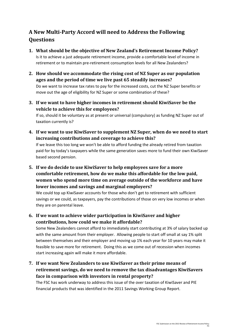## **A New Multi-Party Accord will need to Address the Following Questions**

- **1. What should be the objective of New Zealand's Retirement Income Policy?** Is it to achieve a just adequate retirement income, provide a comfortable level of income in retirement or to maintain pre-retirement consumption levels for all New Zealanders?
- **2. How should we accommodate the rising cost of NZ Super as our population ages and the period of time we live past 65 steadily increases?** Do we want to increase tax rates to pay for the increased costs, cut the NZ Super benefits or move out the age of eligibility for NZ Super or some combination of these?
- **3. If we want to have higher incomes in retirement should KiwiSaver be the vehicle to achieve this for employees?**

If so, should it be voluntary as at present or universal (compulsory) as funding NZ Super out of taxation currently is?

- **4. If we want to use KiwiSaver to supplement NZ Super, when do we need to start increasing contributions and coverage to achieve this?** If we leave this too long we won't be able to afford funding the already retired from taxation paid for by today's taxpayers while the same generation saves more to fund their own KiwiSaver based second pension.
- **5. If we do decide to use KiwiSaver to help employees save for a more comfortable retirement, how do we make this affordable for the low paid, women who spend more time on average outside of the workforce and have lower incomes and savings and marginal employers?**

We could top up KiwiSaver accounts for those who don't get to retirement with sufficient savings or we could, as taxpayers, pay the contributions of those on very low incomes or when they are on parental leave.

**6. If we want to achieve wider participation in KiwiSaver and higher contributions, how could we make it affordable?**

Some New Zealanders cannot afford to immediately start contributing at 3% of salary backed up with the same amount from their employer. Allowing people to start off small at say 1% split between themselves and their employer and moving up 1% each year for 10 years may make it feasible to save more for retirement. Doing this as we come out of recession when incomes start increasing again will make it more affordable.

**7. If we want New Zealanders to use KiwiSaver as their prime means of retirement savings, do we need to remove the tax disadvantages KiwiSavers face in comparison with investors in rental property?**

The FSC has work underway to address this issue of the over taxation of KiwiSaver and PIE financial products that was identified in the 2011 Savings Working Group Report.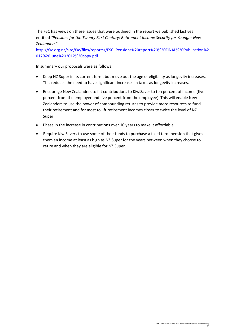The FSC has views on these issues that were outlined in the report we published last year entitled *"Pensions for the Twenty First Century: Retirement Income Security for Younger New Zealanders"*

[http://fsc.org.nz/site/fsc/files/reports//FSC\\_Pensions%20report%20%20FINAL%20Publication%2](http://fsc.org.nz/site/fsc/files/reports/FSC_Pensions%20report%20%20FINAL%20Publication%2017%20June%202012%20copy.pdf) [017%20June%202012%20copy.pdf](http://fsc.org.nz/site/fsc/files/reports/FSC_Pensions%20report%20%20FINAL%20Publication%2017%20June%202012%20copy.pdf)

In summary our proposals were as follows:

- Keep NZ Super in its current form, but move out the age of eligibility as longevity increases. This reduces the need to have significant increases in taxes as longevity increases.
- Encourage New Zealanders to lift contributions to KiwiSaver to ten percent of income (five percent from the employer and five percent from the employee). This will enable New Zealanders to use the power of compounding returns to provide more resources to fund their retirement and for most to lift retirement incomes closer to twice the level of NZ Super.
- Phase in the increase in contributions over 10 years to make it affordable.
- Require KiwiSavers to use some of their funds to purchase a fixed term pension that gives them an income at least as high as NZ Super for the years between when they choose to retire and when they are eligible for NZ Super.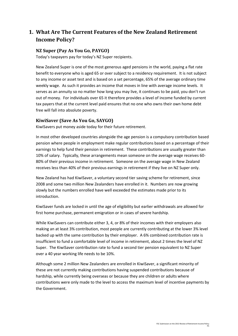## **1. What Are The Current Features of the New Zealand Retirement Income Policy?**

#### **NZ Super (Pay As You Go, PAYGO)**

Today's taxpayers pay for today's NZ Super recipients.

New Zealand Super is one of the most generous aged pensions in the world, paying a flat rate benefit to everyone who is aged 65 or over subject to a residency requirement. It is not subject to any income or asset test and is based on a set percentage, 65% of the average ordinary time weekly wage. As such it provides an income that moves in line with average income levels. It serves as an annuity so no matter how long you may live, it continues to be paid, you don't run out of money. For individuals over 65 it therefore provides a level of income funded by current tax payers that at the current level paid ensures that no one who owns their own home debt free will fall into absolute poverty.

#### **KiwiSaver (Save As You Go, SAYGO)**

KiwiSavers put money aside today for their future retirement.

In most other developed countries alongside the age pension is a compulsory contribution based pension where people in employment make regular contributions based on a percentage of their earnings to help fund their pension in retirement. These contributions are usually greater than 10% of salary. Typically, these arrangements mean someone on the average wage receives 60- 80% of their previous income in retirement. Someone on the average wage in New Zealand receives less than 40% of their previous earnings in retirement if they live on NZ Super only.

New Zealand has had KiwiSaver, a voluntary second tier saving scheme for retirement, since 2008 and some two million New Zealanders have enrolled in it. Numbers are now growing slowly but the numbers enrolled have well exceeded the estimates made prior to its introduction.

KiwiSaver funds are locked in until the age of eligibility but earlier withdrawals are allowed for first home purchase, permanent emigration or in cases of severe hardship.

While KiwiSavers can contribute either 3, 4, or 8% of their incomes with their employers also making an at least 3% contribution, most people are currently contributing at the lower 3% level backed up with the same contribution by their employer. A 6% combined contribution rate is insufficient to fund a comfortable level of income in retirement, about 2 times the level of NZ Super. The KiwiSaver contribution rate to fund a second tier pension equivalent to NZ Super over a 40 year working life needs to be 10%.

Although some 2 million New Zealanders are enrolled in KiwiSaver, a significant minority of these are not currently making contributions having suspended contributions because of hardship, while currently being overseas or because they are children or adults where contributions were only made to the level to access the maximum level of incentive payments by the Government.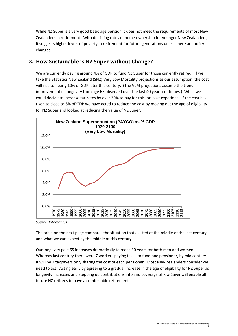While NZ Super is a very good basic age pension it does not meet the requirements of most New Zealanders in retirement. With declining rates of home ownership for younger New Zealanders, it suggests higher levels of poverty in retirement for future generations unless there are policy changes.

### **2. How Sustainable is NZ Super without Change?**

We are currently paying around 4% of GDP to fund NZ Super for those currently retired. If we take the Statistics New Zealand (SNZ) Very Low Mortality projections as our assumption, the cost will rise to nearly 10% of GDP later this century. (The VLM projections assume the trend improvement in longevity from age 65 observed over the last 40 years continues.) While we could decide to increase tax rates by over 20% to pay for this, on past experience if the cost has risen to close to 6% of GDP we have acted to reduce the cost by moving out the age of eligibility for NZ Super and looked at reducing the value of NZ Super.



*Source: Infometrics*

The table on the next page compares the situation that existed at the middle of the last century and what we can expect by the middle of this century.

Our longevity past 65 increases dramatically to reach 30 years for both men and women. Whereas last century there were 7 workers paying taxes to fund one pensioner, by mid century it will be 2 taxpayers only sharing the cost of each pensioner. Most New Zealanders consider we need to act. Acting early by agreeing to a gradual increase in the age of eligibility for NZ Super as longevity increases and stepping up contributions into and coverage of KiwiSaver will enable all future NZ retirees to have a comfortable retirement.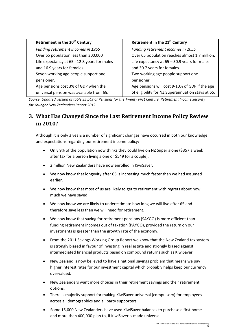| Retirement in the 20 <sup>th</sup> Century   | Retirement in the 21 <sup>st</sup> Century        |
|----------------------------------------------|---------------------------------------------------|
| Funding retirement incomes in 1955           | Funding retirement incomes in 2055                |
| Over 65 population less than 300,000         | Over 65 population reaches almost 1.7 million.    |
| Life expectancy at 65 - 12.8 years for males | Life expectancy at $65 - 30.9$ years for males    |
| and 16.9 years for females.                  | and 30.7 years for females.                       |
| Seven working age people support one         | Two working age people support one                |
| pensioner.                                   | pensioner.                                        |
| Age pensions cost 3% of GDP when the         | Age pensions will cost 9-10% of GDP if the age    |
| universal pension was available from 65.     | of eligibility for NZ Superannuation stays at 65. |

*Source: Updated version of table 35 p49 of Pensions for the Twenty First Century: Retirement Income Security for Younger New Zealanders Report 2012*

## **3. What Has Changed Since the Last Retirement Income Policy Review in 2010?**

Although it is only 3 years a number of significant changes have occurred in both our knowledge and expectations regarding our retirement income policy:

- Only 9% of the population now thinks they could live on NZ Super alone (\$357 a week after tax for a person living alone or \$549 for a couple).
- 2 million New Zealanders have now enrolled in KiwiSaver.
- We now know that longevity after 65 is increasing much faster than we had assumed earlier.
- We now know that most of us are likely to get to retirement with regrets about how much we have saved.
- We now know we are likely to underestimate how long we will live after 65 and therefore save less than we will need for retirement.
- We now know that saving for retirement pensions (SAYGO) is more efficient than funding retirement incomes out of taxation (PAYGO), provided the return on our investments is greater than the growth rate of the economy.
- From the 2011 Savings Working Group Report we know that the New Zealand tax system is strongly biased in favour of investing in real estate and strongly biased against intermediated financial products based on compound returns such as KiwiSaver.
- New Zealand is now believed to have a national savings problem that means we pay higher interest rates for our investment capital which probably helps keep our currency overvalued.
- New Zealanders want more choices in their retirement savings and their retirement options.
- There is majority support for making KiwiSaver universal (compulsory) for employees across all demographics and all party supporters.
- Some 15,000 New Zealanders have used KiwiSaver balances to purchase a first home and more than 400,000 plan to, if KiwiSaver is made universal.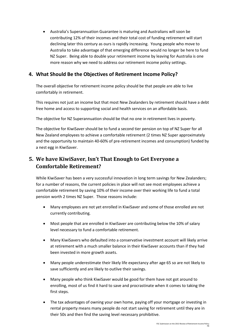• Australia's Superannuation Guarantee is maturing and Australians will soon be contributing 12% of their incomes and their total cost of funding retirement will start declining later this century as ours is rapidly increasing. Young people who move to Australia to take advantage of that emerging difference would no longer be here to fund NZ Super. Being able to double your retirement income by leaving for Australia is one more reason why we need to address our retirement income policy settings.

### **4. What Should Be the Objectives of Retirement Income Policy?**

The overall objective for retirement income policy should be that people are able to live comfortably in retirement.

This requires not just an income but that most New Zealanders by retirement should have a debt free home and access to supporting social and health services on an affordable basis.

The objective for NZ Superannuation should be that no one in retirement lives in poverty.

The objective for KiwiSaver should be to fund a second tier pension on top of NZ Super for all New Zealand employees to achieve a comfortable retirement (2 times NZ Super approximately and the opportunity to maintain 40-60% of pre-retirement incomes and consumption) funded by a nest egg in KiwiSaver.

## **5. We have KiwiSaver, Isn't That Enough to Get Everyone a Comfortable Retirement?**

While KiwiSaver has been a very successful innovation in long term savings for New Zealanders; for a number of reasons, the current policies in place will not see most employees achieve a comfortable retirement by saving 10% of their income over their working life to fund a total pension worth 2 times NZ Super. Those reasons include:

- Many employees are not yet enrolled in KiwiSaver and some of those enrolled are not currently contributing.
- Most people that are enrolled in KiwiSaver are contributing below the 10% of salary level necessary to fund a comfortable retirement.
- Many KiwiSavers who defaulted into a conservative investment account will likely arrive at retirement with a much smaller balance in their KiwiSaver accounts than if they had been invested in more growth assets.
- Many people underestimate their likely life expectancy after age 65 so are not likely to save sufficiently and are likely to outlive their savings.
- Many people who think KiwiSaver would be good for them have not got around to enrolling, most of us find it hard to save and procrastinate when it comes to taking the first steps.
- The tax advantages of owning your own home, paying off your mortgage or investing in rental property means many people do not start saving for retirement until they are in their 50s and then find the saving level necessary prohibitive.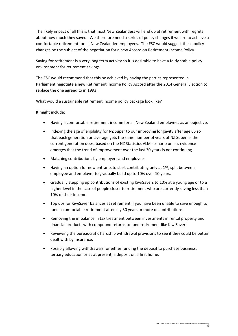The likely impact of all this is that most New Zealanders will end up at retirement with regrets about how much they saved. We therefore need a series of policy changes if we are to achieve a comfortable retirement for all New Zealander employees. The FSC would suggest these policy changes be the subject of the negotiation for a new Accord on Retirement Income Policy.

Saving for retirement is a very long term activity so it is desirable to have a fairly stable policy environment for retirement savings.

The FSC would recommend that this be achieved by having the parties represented in Parliament negotiate a new Retirement Income Policy Accord after the 2014 General Election to replace the one agreed to in 1993.

What would a sustainable retirement income policy package look like?

It might include:

- Having a comfortable retirement income for all New Zealand employees as an objective.
- Indexing the age of eligibility for NZ Super to our improving longevity after age 65 so that each generation on average gets the same number of years of NZ Super as the current generation does, based on the NZ Statistics VLM scenario unless evidence emerges that the trend of improvement over the last 30 years is not continuing.
- Matching contributions by employers and employees.
- Having an option for new entrants to start contributing only at 1%, split between employee and employer to gradually build up to 10% over 10 years.
- Gradually stepping up contributions of existing KiwiSavers to 10% at a young age or to a higher level in the case of people closer to retirement who are currently saving less than 10% of their income.
- Top ups for KiwiSaver balances at retirement if you have been unable to save enough to fund a comfortable retirement after say 30 years or more of contributions.
- Removing the imbalance in tax treatment between investments in rental property and financial products with compound returns to fund retirement like KiwiSaver.
- Reviewing the bureaucratic hardship withdrawal provisions to see if they could be better dealt with by insurance.
- Possibly allowing withdrawals for either funding the deposit to purchase business, tertiary education or as at present, a deposit on a first home.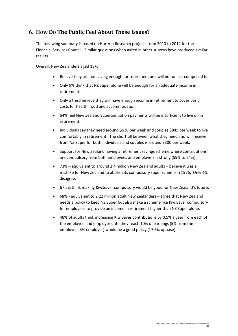## **6. How Do The Public Feel About These Issues?**

The following summary is based on Horizon Research projects from 2010 to 2012 for the Financial Services Council. Similar questions when asked in other surveys have produced similar results.

Overall, New Zealanders aged 18+:

- Believe they are not saving enough for retirement and will not unless compelled to.
- Only 9% think that NZ Super alone will be enough for an adequate income in retirement.
- Only a third believe they will have enough income in retirement to cover basic costs for health, food and accommodation.
- 64% feel New Zealand Superannuation payments will be insufficient to live on in retirement.
- Individuals say they need around \$630 per week and couples \$845 per week to live comfortably in retirement. The shortfall between what they need and will receive from NZ Super for both individuals and couples is around \$300 per week.
- Support for New Zealand having a retirement savings scheme where contributions are compulsory from both employees and employers is strong (59% to 24%).
- 73% equivalent to around 2.4 million New Zealand adults believe it was a mistake for New Zealand to abolish its compulsory super scheme in 1976. Only 4% disagree.
- 67.2% think making KiwiSaver compulsory would be good for New Zealand's future.
- 68% equivalent to 2.22 million adult New Zealanders agree that New Zealand needs a policy to keep NZ Super but also make a scheme like KiwiSaver compulsory for employees to provide an income in retirement higher than NZ Super alone.
- 48% of adults think increasing KiwiSaver contributions by 0.5% a year from each of the employee and employer until they reach 10% of earnings (5% from the employee, 5% employer) would be a good policy (17.6% oppose).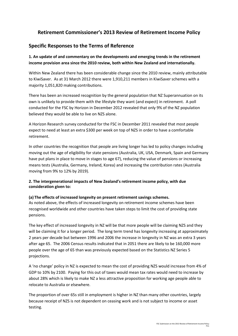### **Retirement Commissioner's 2013 Review of Retirement Income Policy**

### **Specific Responses to the Terms of Reference**

**1. An update of and commentary on the developments and emerging trends in the retirement income provision area since the 2010 review, both within New Zealand and internationally.** 

Within New Zealand there has been considerable change since the 2010 review, mainly attributable to KiwiSaver. As at 31 March 2012 there were 1,910,211 members in KiwiSaver schemes with a majority 1,051,820 making contributions.

There has been an increased recognition by the general population that NZ Superannuation on its own is unlikely to provide them with the lifestyle they want (and expect) in retirement. A poll conducted for the FSC by Horizon in December 2012 revealed that only 9% of the NZ population believed they would be able to live on NZS alone.

A Horizon Research survey conducted for the FSC in December 2011 revealed that most people expect to need at least an extra \$300 per week on top of NZS in order to have a comfortable retirement.

In other countries the recognition that people are living longer has led to policy changes including moving out the age of eligibility for state pensions (Australia, UK, USA, Denmark, Spain and Germany have put plans in place to move in stages to age 67), reducing the value of pensions or increasing means tests (Australia, Germany, Ireland, Korea) and increasing the contribution rates (Australia moving from 9% to 12% by 2019).

#### **2. The intergenerational impacts of New Zealand's retirement income policy, with due consideration given to:**

#### **(a) The effects of increased longevity on present retirement savings schemes.**

As noted above, the effects of increased longevity on retirement income schemes have been recognised worldwide and other countries have taken steps to limit the cost of providing state pensions.

The key effect of increased longevity in NZ will be that more people will be claiming NZS and they will be claiming it for a longer period. The long term trend has longevity increasing at approximately 2 years per decade but between 1996 and 2006 the increase in longevity in NZ was an extra 3 years after age 65. The 2006 Census results indicated that in 2051 there are likely to be 160,000 more people over the age of 65 than was previously expected based on the Statistics NZ Series 5 projections.

A 'no change' policy in NZ is expected to mean the cost of providing NZS would increase from 4% of GDP to 10% by 2100. Paying for this out of taxes would mean tax rates would need to increase by about 28% which is likely to make NZ a less attractive proposition for working age people able to relocate to Australia or elsewhere.

The proportion of over 65s still in employment is higher in NZ than many other countries, largely because receipt of NZS is not dependent on ceasing work and is not subject to income or asset testing.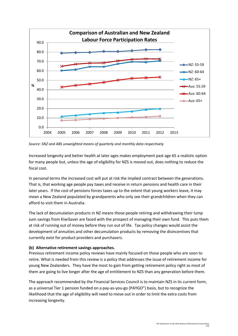

*Source: SNZ and ABS unweighted means of quarterly and monthly data respectively*

Increased longevity and better health at later ages makes employment past age 65 a realistic option for many people but, unless the age of eligibility for NZS is moved out, does nothing to reduce the fiscal cost.

In personal terms the increased cost will put at risk the implied contract between the generations. That is, that working age people pay taxes and receive in return pensions and health care in their later years. If the cost of pensions forces taxes up to the extent that young workers leave, it may mean a New Zealand populated by grandparents who only see their grandchildren when they can afford to visit them in Australia.

The lack of decumulation products in NZ means those people retiring and withdrawing their lump sum savings from KiwiSaver are faced with the prospect of managing their own fund. This puts them at risk of running out of money before they run out of life. Tax policy changes would assist the development of annuities and other decumulation products by removing the disincentives that currently exist for product providers and purchasers.

#### **(b) Alternative retirement savings approaches.**

Previous retirement income policy reviews have mainly focused on those people who are soon to retire. What is needed from this review is a policy that addresses the issue of retirement income for young New Zealanders. They have the most to gain from getting retirement policy right as most of them are going to live longer after the age of entitlement to NZS than any generation before them.

The approach recommended by the Financial Services Council is to maintain NZS in its current form, as a universal Tier 1 pension funded on a pay-as-you-go (PAYGO") basis, but to recognize the likelihood that the age of eligibility will need to move out in order to limit the extra costs from increasing longevity.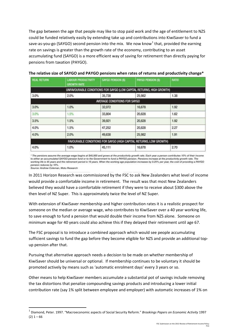The gap between the age that people may like to stop paid work and the age of entitlement to NZS could be funded relatively easily by extending take up and contributions into KiwiSaver to fund a save-as-you-go (SAYGO) second pension into the mix. We now know<sup>[1](#page-12-0)</sup> that, provided the earning rate on savings is greater than the growth rate of the economy, contributing to an asset accumulating fund (SAYGO) is a more efficient way of saving for retirement than directly paying for pensions from taxation (PAYGO).

| <b>REAL RETURN</b> | <b>LABOUR PRODUCTIVITY</b><br><b>GROWTH RATE</b> | SAYGO PENSION (S)            | PAYGO PENSION (\$)                                                   | <b>RATIO</b> |  |
|--------------------|--------------------------------------------------|------------------------------|----------------------------------------------------------------------|--------------|--|
|                    |                                                  |                              | UNFAVOURABLE CONDITIONS FOR SAYGO (LOW CAPITAL RETURNS, HIGH GROWTH) |              |  |
| 3.0%               | 2.0%                                             | 35,738                       | 25,982                                                               | 1.38         |  |
|                    |                                                  | AVERAGE CONDITIONS FOR SAYGO |                                                                      |              |  |
| 3.0%               | 1.0%                                             | 32,072                       | 16,678                                                               | 1.92         |  |
| 3.0%               | 1.5%                                             | 33,804                       | 20,828                                                               | 1.62         |  |
| 3.5%               | 1.5%                                             | 39,921                       | 20,828                                                               | 1.92         |  |
| 4.0%               | 1.5%                                             | 47,252                       | 20,828                                                               | 2.27         |  |
| 4.0%               | 2.0%                                             | 49,638                       | 25,982                                                               | 1.91         |  |
|                    |                                                  |                              | FAVOURABLE CONDITIONS FOR SAYGO (HIGH CAPITAL RETURNS, LOW GROWTH)   |              |  |
| 4.0%               | 1.0%                                             | 45,111                       | 16,678                                                               | 2.70         |  |

#### **The relative size of SAYGO and PAYGO pensions when rates of returns and productivity change\***

\* The pensions assume the average wage begins at \$45,000 and grows at the productivity growth rate. Each year a person contributes 10% of their income to either an accumulated SAYGO pension fund or to the Government to fund a PAYGO pension. Pensions increase at the productivity growth rate. The working life is 45 years and the retirement period is 19 years. When the working age population increases by 0.25% per year, the cost of providing a PAYGO pension reduces by 10%.

Source: Andrew Coleman, Motu Research

In 2011 Horizon Research was commissioned by the FSC to ask New Zealanders what level of income would provide a comfortable income in retirement. The result was that most New Zealanders believed they would have a comfortable retirement if they were to receive about \$300 above the then level of NZ Super. This is approximately twice the level of NZ Super.

With extension of KiwiSaver membership and higher contribution rates it is a realistic prospect for someone on the median or average wage, who contributes to KiwiSaver over a 40 year working life, to save enough to fund a pension that would double their income from NZS alone. Someone on minimum wage for 40 years could also achieve this if they delayed their retirement until age 67.

The FSC proposal is to introduce a combined approach which would see people accumulating sufficient savings to fund the gap before they become eligible for NZS and provide an additional topup pension after that.

Pursuing that alternative approach needs a decision to be made on whether membership of KiwiSaver should be universal or optional. If membership continues to be voluntary it should be promoted actively by means such as 'automatic enrolment days' every 3 years or so.

Other means to help KiwiSaver members accumulate a substantial pot of savings include removing the tax distortions that penalize compounding savings products and introducing a lower initial contribution rate (say 1% split between employee and employer) with automatic increases of 1% on

<span id="page-12-0"></span> <sup>1</sup> Diamond, Peter. 1997. "Macroeconomic aspects of Social Security Reform." *Brookings Papers on Economic Activity* <sup>1997</sup>  $(2)$  1 – 66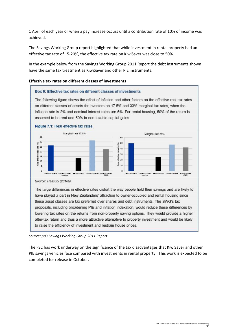1 April of each year or when a pay increase occurs until a contribution rate of 10% of income was achieved.

The Savings Working Group report highlighted that while investment in rental property had an effective tax rate of 15-20%, the effective tax rate on KiwiSaver was close to 50%.

In the example below from the Savings Working Group 2011 Report the debt instruments shown have the same tax treatment as KiwiSaver and other PIE instruments.

#### **Effective tax rates on different classes of investments**

#### Box 6: Effective tax rates on different classes of investments

The following figure shows the effect of inflation and other factors on the effective real tax rates on different classes of assets for investors on 17.5% and 33% marginal tax rates, when the inflation rate is 2% and nominal interest rates are 6%. For rental housing, 50% of the return is assumed to be rent and 50% in non-taxable capital gains.



*Source: p83 Savings Working Group 2011 Report*

The FSC has work underway on the significance of the tax disadvantages that KiwiSaver and other PIE savings vehicles face compared with investments in rental property. This work is expected to be completed for release in October.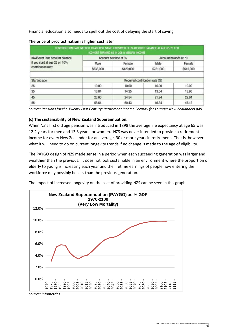Financial education also needs to spell out the cost of delaying the start of saving:

|                                | CONTRIBUTION RATE NEEDED TO ACHIEVE SAME KIWISAVER PLUS ACCOUNT BALANCE AT AGE 65/70 FOR | (COHORT TURNING 65 IN 2061) MEDIAN INCOME |                       |           |
|--------------------------------|------------------------------------------------------------------------------------------|-------------------------------------------|-----------------------|-----------|
| KiwiSaver Plus account balance | Account balance at 65                                                                    |                                           | Account balance at 70 |           |
| if you start at age 25 on 10%  | Male                                                                                     | Female                                    | Male                  | Female    |
| contribution rate:             | \$638,000                                                                                | \$420,000                                 | \$781,000             | \$515,000 |
| Starting age                   | Required contribution rate (%)                                                           |                                           |                       |           |
| 25                             | 10.00                                                                                    | 10.00                                     | 10.00                 | 10.00     |
| 35                             | 13.84                                                                                    | 14.25                                     | 13.54                 | 13.90     |
| 45                             | 23.60                                                                                    | 24.54                                     | 21.94                 | 22.64     |
| 55                             | 58.64                                                                                    | 60.43                                     | 46.34                 | 47.12     |

#### **The price of procrastination is higher cost later**

*Source: Pensions for the Twenty First Century: Retirement Income Security for Younger New Zealanders p49*

#### **(c) The sustainability of New Zealand Superannuation.**

When NZ's first old age pension was introduced in 1898 the average life expectancy at age 65 was 12.2 years for men and 13.3 years for women. NZS was never intended to provide a retirement income for every New Zealander for an average, 30 or more years in retirement. That is, however, what it will need to do on current longevity trends if no change is made to the age of eligibility.

The PAYGO design of NZS made sense in a period when each succeeding generation was larger and wealthier than the previous. It does not look sustainable in an environment where the proportion of elderly to young is increasing each year and the lifetime earnings of people now entering the workforce may possibly be less than the previous generation.

The impact of increased longevity on the cost of providing NZS can be seen in this graph.



*Source: Infometrics*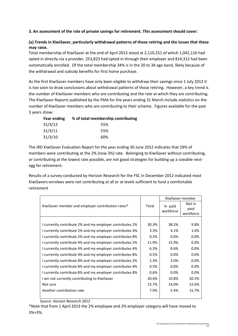#### **3. An assessment of the role of private savings for retirement. This assessment should cover:**

#### **(a) Trends in KiwiSaver, particularly withdrawal patterns of those retiring and the issues that these may raise.**

Total membership of KiwiSaver at the end of April 2013 stood at 2,110,251 of which 1,042,116 had opted in directly via a provider, 253,823 had opted in through their employer and 814,312 had been automatically enrolled. Of the total membership 34% is in the 20 to 34 age band, likely because of the withdrawal and subsidy benefits for first home purchase.

As the first KiwiSaver members have only been eligible to withdraw their savings since 1 July 2012 it is too soon to draw conclusions about withdrawal patterns of those retiring. However, a key trend is the number of KiwiSaver members who are contributing and the rate at which they are contributing. The KiwiSaver Reports published by the FMA for the years ending 31 March include statistics on the number of KiwiSaver members who are contributing to their scheme. Figures available for the past 3 years show:

| Year ending | % of total membership contributing |
|-------------|------------------------------------|
| 31/3/12     | 55%                                |
| 31/3/11     | 55%                                |
| 31/3/10     | 60%                                |

The IRD KiwiSaver Evaluation Report for the year ending 30 June 2012 indicates that 59% of members were contributing at the 2% (now 3%) rate. Belonging to KiwiSaver without contributing, or contributing at the lowest rate possible, are not good strategies for building up a sizeable nestegg for retirement.

Results of a survey conducted by Horizon Research for the FSC in December 2012 indicated most KiwiSavers enrolees were not contributing at all or at levels sufficient to fund a comfortable retirement

|                                                          |       | KiwiSaver member     |                             |
|----------------------------------------------------------|-------|----------------------|-----------------------------|
| KiwiSaver member and employer contribution rates*        | Total | In paid<br>workforce | Not in<br>paid<br>workforce |
|                                                          |       |                      |                             |
| I currently contribute 2% and my employer contributes 2% | 30.3% | 38.2%                | 9.8%                        |
| I currently contribute 2% and my employer contributes 4% | 3.3%  | 4.1%                 | 1.6%                        |
| I currently contribute 2% and my employer contributes 8% | 0.2%  | 0.0%                 | 0.0%                        |
| I currently contribute 4% and my employer contributes 2% | 11.9% | 15.9%                | 0.0%                        |
| I currently contribute 4% and my employer contributes 4% | 6.3%  | 8.6%                 | 0.0%                        |
| I currently contribute 4% and my employer contributes 8% | 0.5%  | 0.0%                 | 0.0%                        |
| I currently contribute 8% and my employer contributes 2% | 2.3%  | 3.0%                 | 0.0%                        |
| I currently contribute 8% and my employer contributes 4% | 0.5%  | 0.0%                 | 0.0%                        |
| I currently contribute 8% and my employer contributes 8% | 0.6%  | 0.0%                 | 0.0%                        |
| I am not currently contributing to KiwiSaver             | 20.4% | 10.8%                | 50.3%                       |
| Not sure                                                 | 15.7% | 14.0%                | 22.6%                       |
| Another contribution rate                                | 7.9%  | 5.4%                 | 15.7%                       |
|                                                          |       |                      |                             |

*Source: Horizon Research 2012*

\*Note that from 1 April 2013 the 2% employee and 2% employer category will have moved to 3%+3%.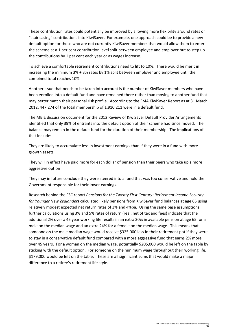These contribution rates could potentially be improved by allowing more flexibility around rates or "stair casing" contributions into KiwiSaver. For example, one approach could be to provide a new default option for those who are not currently KiwiSaver members that would allow them to enter the scheme at a 1 per cent contribution level split between employee and employer but to step up the contributions by 1 per cent each year or as wages increase.

To achieve a comfortable retirement contributions need to lift to 10%. There would be merit in increasing the minimum 3% + 3% rates by 1% split between employer and employee until the combined total reaches 10%.

Another issue that needs to be taken into account is the number of KiwiSaver members who have been enrolled into a default fund and have remained there rather than moving to another fund that may better match their personal risk profile. According to the FMA KiwiSaver Report as at 31 March 2012, 447,274 of the total membership of 1,910,211 were in a default fund.

The MBIE discussion document for the 2012 Review of KiwiSaver Default Provider Arrangements identified that only 39% of entrants into the default option of their scheme had since moved. The balance may remain in the default fund for the duration of their membership. The implications of that include:

They are likely to accumulate less in investment earnings than if they were in a fund with more growth assets

They will in effect have paid more for each dollar of pension than their peers who take up a more aggressive option

They may in future conclude they were steered into a fund that was too conservative and hold the Government responsible for their lower earnings.

Research behind the FSC report *Pensions for the Twenty First Century: Retirement Income Security for Younger New Zealanders* calculated likely pensions from KiwiSaver fund balances at age 65 using relatively modest expected net return rates of 3% and 4%pa. Using the same base assumptions, further calculations using 3% and 5% rates of return (real, net of tax and fees) indicate that the additional 2% over a 45 year working life results in an extra 30% in available pension at age 65 for a male on the median wage and an extra 24% for a female on the median wage. This means that someone on the male median wage would receive \$325,000 less in their retirement pot if they were to stay in a conservative default fund compared with a more aggressive fund that earns 2% more over 45 years. For a woman on the median wage, potentially \$205,000 would be left on the table by sticking with the default option. For someone on the minimum wage throughout their working life, \$179,000 would be left on the table. These are all significant sums that would make a major difference to a retiree's retirement life style.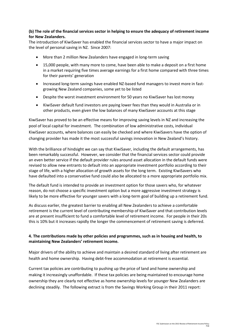#### **(b) The role of the financial services sector in helping to ensure the adequacy of retirement income for New Zealanders.**

The introduction of KiwiSaver has enabled the financial services sector to have a major impact on the level of personal saving in NZ. Since 2007:

- More than 2 million New Zealanders have engaged in long-term saving
- 15,000 people, with many more to come, have been able to make a deposit on a first home in a market requiring five times average earnings for a first home compared with three times for their parents' generation
- Increased long-term savings have enabled NZ-based fund managers to invest more in fastgrowing New Zealand companies, some yet to be listed
- Despite the worst investment environment for 50 years no KiwiSaver has lost money
- KiwiSaver default fund investors are paying lower fees than they would in Australia or in other products, even given the low balances of many KiwiSaver accounts at this stage

KiwiSaver has proved to be an effective means for improving saving levels in NZ and increasing the pool of local capital for investment. The combination of low administrative costs, individual KiwiSaver accounts, where balances can easily be checked and where KiwiSavers have the option of changing provider has made it the most successful savings innovation in New Zealand's history.

With the brilliance of hindsight we can say that KiwiSaver, including the default arrangements, has been remarkably successful. However, we consider that the financial services sector could provide an even better service if the default provider rules around asset allocation in the default funds were revised to allow new entrants to default into an appropriate investment portfolio according to their stage of life, with a higher allocation of growth assets for the long term. Existing KiwiSavers who have defaulted into a conservative fund could also be allocated to a more appropriate portfolio mix.

The default fund is intended to provide an investment option for those savers who, for whatever reason, do not choose a specific investment option but a more aggressive investment strategy is likely to be more effective for younger savers with a long-term goal of building up a retirement fund.

As discuss earlier, the greatest barrier to enabling all New Zealanders to achieve a comfortable retirement is the current level of contributing membership of KiwiSaver and that contribution levels are at present insufficient to fund a comfortable level of retirement income. For people in their 20s this is 10% but it increases rapidly the longer the commencement of retirement saving is deferred.

#### **4. The contributions made by other policies and programmes, such as in housing and health, to maintaining New Zealanders' retirement income.**

Major drivers of the ability to achieve and maintain a desired standard of living after retirement are health and home ownership. Having debt-free accommodation at retirement is essential.

Current tax policies are contributing to pushing up the price of land and home ownership and making it increasingly unaffordable. If these tax policies are being maintained to encourage home ownership they are clearly not effective as home ownership levels for younger New Zealanders are declining steadily. The following extract is from the Savings Working Group in their 2011 report: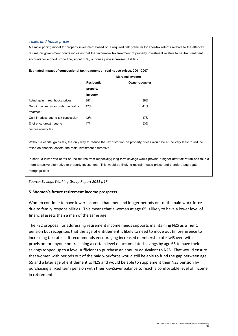#### *Taxes and house prices*

A simple pricing model for property investment based on a required risk premium for after-tax returns relative to the after-tax returns on government bonds indicates that the favourable tax treatment of property investment relative to neutral treatment accounts for a good proportion, about 50%, of house price increases (Table 2).

#### **Estimated impact of concessional tax treatment on real house prices, 2001-2007**

|                                        | <b>Marginal investor</b> |                |
|----------------------------------------|--------------------------|----------------|
|                                        | <b>Residential</b>       | Owner-occupier |
|                                        | property                 |                |
|                                        | investor                 |                |
| Actual gain in real house prices       | 88%                      | 88%            |
| Gain in house prices under neutral tax | 47%                      | 41%            |
| treatment                              |                          |                |
| Gain in prices due to tax concession   | 42%                      | 47%            |
| % of price growth due to               | 47%                      | 53%            |
| concessionary tax                      |                          |                |

Without a capital gains tax, the only way to reduce the tax distortion on property prices would be at the very least to reduce taxes on financial assets, the main investment alternative.

In short, a lower rate of tax on the returns from (especially) long-term savings would provide a higher after-tax return and thus a more attractive alternative to property investment. This would be likely to restrain house prices and therefore aggregate mortgage debt

*Source: Savings Working Group Report 2011 p47*

#### **5. Women's future retirement income prospects.**

Women continue to have lower incomes than men and longer periods out of the paid work-force due to family responsibilities. This means that a woman at age 65 is likely to have a lower level of financial assets than a man of the same age.

The FSC proposal for addressing retirement income needs supports maintaining NZS as a Tier 1 pension but recognises that the age of entitlement is likely to need to move out (in preference to increasing tax rates). It recommends encouraging increased membership of KiwiSaver, with provision for anyone not reaching a certain level of accumulated savings by age 65 to have their savings topped up to a level sufficient to purchase an annuity equivalent to NZS. That would ensure that women with periods out of the paid workforce would still be able to fund the gap between age 65 and a later age of entitlement to NZS and would be able to supplement their NZS pension by purchasing a fixed term pension with their KiwiSaver balance to reach a comfortable level of income in retirement.